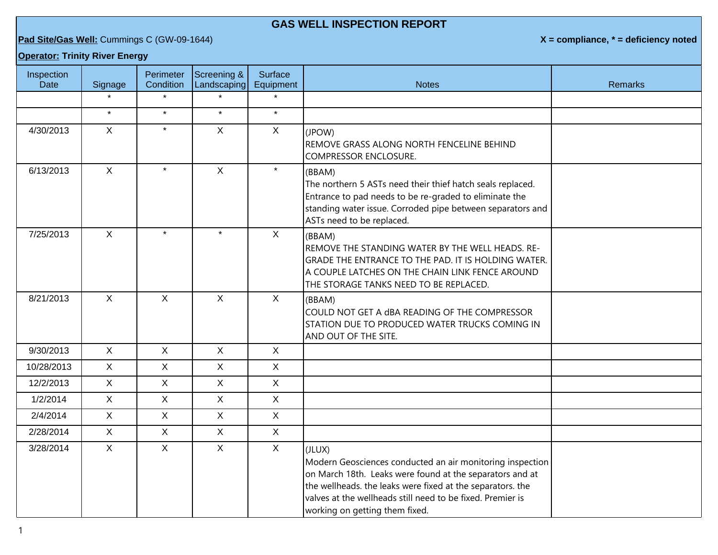## **GAS WELL INSPECTION REPORT**

**Pad Site/Gas Well:** Cummings C (GW-09-1644) **X** = compliance, \* = deficiency noted

## **Operator: Trinity River Energy**

| Inspection<br>Date | Signage      | Perimeter<br>Condition | Screening &<br>Landscaping | Surface<br>Equipment | <b>Notes</b>                                                                                                                                                                                                                                                                                  | <b>Remarks</b> |
|--------------------|--------------|------------------------|----------------------------|----------------------|-----------------------------------------------------------------------------------------------------------------------------------------------------------------------------------------------------------------------------------------------------------------------------------------------|----------------|
|                    |              | $\star$                |                            |                      |                                                                                                                                                                                                                                                                                               |                |
|                    | $\star$      | $\star$                | $\star$                    | $\star$              |                                                                                                                                                                                                                                                                                               |                |
| 4/30/2013          | $\mathsf{X}$ | $\star$                | $\mathsf{X}$               | $\mathsf{X}$         | (JPOW)<br>REMOVE GRASS ALONG NORTH FENCELINE BEHIND<br><b>COMPRESSOR ENCLOSURE.</b>                                                                                                                                                                                                           |                |
| 6/13/2013          | $\mathsf{X}$ | $\star$                | $\mathsf X$                | $\star$              | (BBAM)<br>The northern 5 ASTs need their thief hatch seals replaced.<br>Entrance to pad needs to be re-graded to eliminate the<br>standing water issue. Corroded pipe between separators and<br>ASTs need to be replaced.                                                                     |                |
| 7/25/2013          | $\mathsf{X}$ | $\star$                | $\star$                    | $\mathsf{X}$         | (BBAM)<br>REMOVE THE STANDING WATER BY THE WELL HEADS. RE-<br>GRADE THE ENTRANCE TO THE PAD. IT IS HOLDING WATER.<br>A COUPLE LATCHES ON THE CHAIN LINK FENCE AROUND<br>THE STORAGE TANKS NEED TO BE REPLACED.                                                                                |                |
| 8/21/2013          | $\mathsf{X}$ | $\mathsf{X}$           | $\mathsf{X}$               | $\sf X$              | (BBAM)<br>COULD NOT GET A dBA READING OF THE COMPRESSOR<br>STATION DUE TO PRODUCED WATER TRUCKS COMING IN<br>AND OUT OF THE SITE.                                                                                                                                                             |                |
| 9/30/2013          | $\mathsf{X}$ | $\mathsf{X}$           | $\mathsf{X}$               | $\mathsf{X}$         |                                                                                                                                                                                                                                                                                               |                |
| 10/28/2013         | $\mathsf{X}$ | $\mathsf{X}$           | $\mathsf X$                | $\mathsf X$          |                                                                                                                                                                                                                                                                                               |                |
| 12/2/2013          | $\mathsf{X}$ | $\mathsf{X}$           | $\mathsf{X}$               | $\mathsf{X}$         |                                                                                                                                                                                                                                                                                               |                |
| 1/2/2014           | $\mathsf{X}$ | $\mathsf{X}$           | $\mathsf{X}$               | $\sf X$              |                                                                                                                                                                                                                                                                                               |                |
| 2/4/2014           | $\mathsf{X}$ | $\mathsf{X}$           | $\mathsf X$                | $\mathsf X$          |                                                                                                                                                                                                                                                                                               |                |
| 2/28/2014          | $\mathsf{X}$ | $\mathsf{X}$           | $\mathsf{X}$               | $\mathsf{X}$         |                                                                                                                                                                                                                                                                                               |                |
| 3/28/2014          | $\mathsf{X}$ | $\mathsf{X}$           | $\mathsf X$                | $\mathsf{X}$         | (JLUX)<br>Modern Geosciences conducted an air monitoring inspection<br>on March 18th. Leaks were found at the separators and at<br>the wellheads. the leaks were fixed at the separators. the<br>valves at the wellheads still need to be fixed. Premier is<br>working on getting them fixed. |                |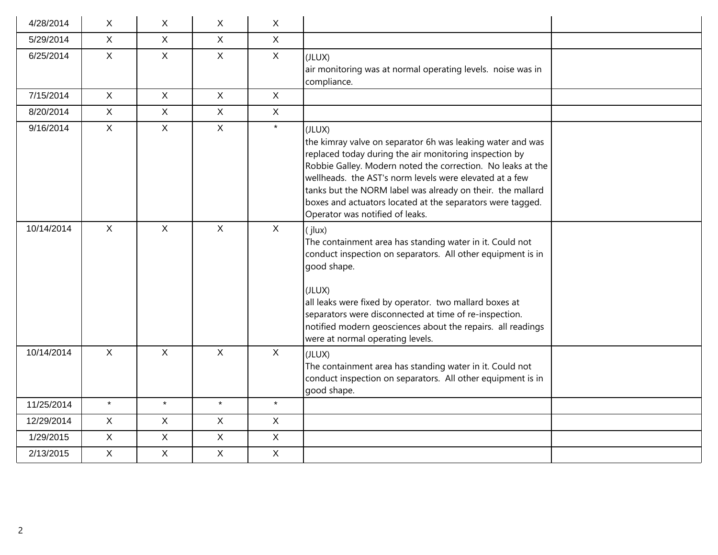| 4/28/2014  | X            | X            | $\mathsf{X}$ | $\sf X$        |                                                                                                                                                                                                                                                                                                                                                                                                                         |
|------------|--------------|--------------|--------------|----------------|-------------------------------------------------------------------------------------------------------------------------------------------------------------------------------------------------------------------------------------------------------------------------------------------------------------------------------------------------------------------------------------------------------------------------|
| 5/29/2014  | $\mathsf{X}$ | $\mathsf{X}$ | $\mathsf X$  | $\mathsf{X}$   |                                                                                                                                                                                                                                                                                                                                                                                                                         |
| 6/25/2014  | $\mathsf{X}$ | $\mathsf{X}$ | $\mathsf{X}$ | $\mathsf{X}$   | (JLUX)<br>air monitoring was at normal operating levels. noise was in<br>compliance.                                                                                                                                                                                                                                                                                                                                    |
| 7/15/2014  | $\mathsf{X}$ | $\mathsf{X}$ | $\mathsf{X}$ | $\sf X$        |                                                                                                                                                                                                                                                                                                                                                                                                                         |
| 8/20/2014  | $\mathsf{X}$ | $\mathsf{X}$ | $\mathsf X$  | $\mathsf X$    |                                                                                                                                                                                                                                                                                                                                                                                                                         |
| 9/16/2014  | $\mathsf{X}$ | $\mathsf{X}$ | $\mathsf{X}$ | $\star$        | (JLUX)<br>the kimray valve on separator 6h was leaking water and was<br>replaced today during the air monitoring inspection by<br>Robbie Galley. Modern noted the correction. No leaks at the<br>wellheads. the AST's norm levels were elevated at a few<br>tanks but the NORM label was already on their. the mallard<br>boxes and actuators located at the separators were tagged.<br>Operator was notified of leaks. |
| 10/14/2014 | $\mathsf{X}$ | $\mathsf{X}$ | $\sf X$      | $\mathsf{X}$   | (jlux)<br>The containment area has standing water in it. Could not<br>conduct inspection on separators. All other equipment is in<br>good shape.<br>(JLUX)<br>all leaks were fixed by operator. two mallard boxes at<br>separators were disconnected at time of re-inspection.<br>notified modern geosciences about the repairs. all readings<br>were at normal operating levels.                                       |
| 10/14/2014 | $\mathsf{X}$ | $\mathsf{X}$ | $\mathsf{X}$ | $\mathsf{X}$   | (JLUX)<br>The containment area has standing water in it. Could not<br>conduct inspection on separators. All other equipment is in<br>good shape.                                                                                                                                                                                                                                                                        |
| 11/25/2014 | $\star$      | $\star$      | $\star$      | $\star$        |                                                                                                                                                                                                                                                                                                                                                                                                                         |
| 12/29/2014 | $\mathsf{X}$ | $\mathsf{X}$ | $\mathsf X$  | $\mathsf{X}$   |                                                                                                                                                                                                                                                                                                                                                                                                                         |
| 1/29/2015  | $\mathsf{X}$ | $\mathsf{X}$ | $\mathsf X$  | $\mathsf{X}$   |                                                                                                                                                                                                                                                                                                                                                                                                                         |
| 2/13/2015  | X            | $\mathsf{X}$ | $\mathsf{X}$ | $\pmb{\times}$ |                                                                                                                                                                                                                                                                                                                                                                                                                         |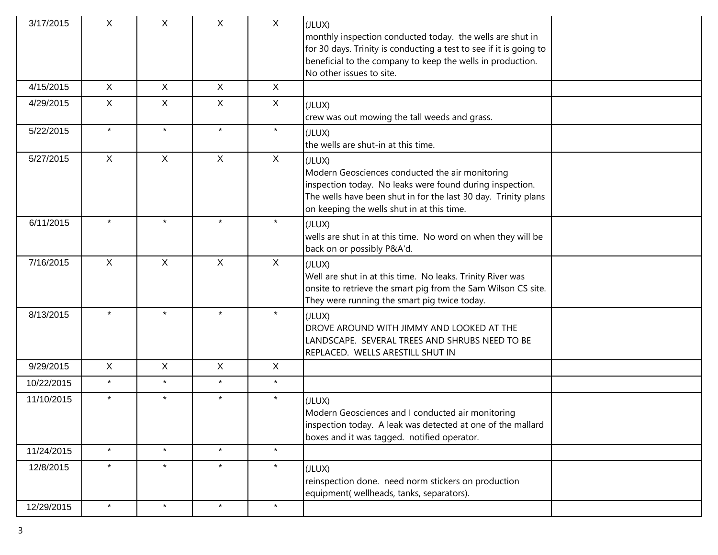| 3/17/2015  | X            | X            | X            | $\mathsf{X}$ | (JLUX)<br>monthly inspection conducted today. the wells are shut in<br>for 30 days. Trinity is conducting a test to see if it is going to<br>beneficial to the company to keep the wells in production.<br>No other issues to site.   |
|------------|--------------|--------------|--------------|--------------|---------------------------------------------------------------------------------------------------------------------------------------------------------------------------------------------------------------------------------------|
| 4/15/2015  | $\sf X$      | X            | X            | X            |                                                                                                                                                                                                                                       |
| 4/29/2015  | X            | X            | X.           | X            | (JLUX)<br>crew was out mowing the tall weeds and grass.                                                                                                                                                                               |
| 5/22/2015  | $\star$      | $\star$      | $\star$      | $\star$      | (JLUX)<br>the wells are shut-in at this time.                                                                                                                                                                                         |
| 5/27/2015  | X            | X            | $\mathsf{X}$ | X            | (JLUX)<br>Modern Geosciences conducted the air monitoring<br>inspection today. No leaks were found during inspection.<br>The wells have been shut in for the last 30 day. Trinity plans<br>on keeping the wells shut in at this time. |
| 6/11/2015  |              | $\star$      | $\star$      | $\star$      | (JLUX)<br>wells are shut in at this time. No word on when they will be<br>back on or possibly P&A'd.                                                                                                                                  |
| 7/16/2015  | $\sf X$      | $\mathsf{X}$ | $\mathsf{X}$ | X            | (JLUX)<br>Well are shut in at this time. No leaks. Trinity River was<br>onsite to retrieve the smart pig from the Sam Wilson CS site.<br>They were running the smart pig twice today.                                                 |
| 8/13/2015  | $\star$      | $\star$      | $\star$      | $\star$      | (JLUX)<br>DROVE AROUND WITH JIMMY AND LOOKED AT THE<br>LANDSCAPE. SEVERAL TREES AND SHRUBS NEED TO BE<br>REPLACED. WELLS ARESTILL SHUT IN                                                                                             |
| 9/29/2015  | $\mathsf{X}$ | $\mathsf{X}$ | $\mathsf{X}$ | $\mathsf{X}$ |                                                                                                                                                                                                                                       |
| 10/22/2015 | $\star$      | $\star$      | $\star$      | $\star$      |                                                                                                                                                                                                                                       |
| 11/10/2015 | $\star$      | $\star$      | $\star$      | $\star$      | (JLUX)<br>Modern Geosciences and I conducted air monitoring<br>inspection today. A leak was detected at one of the mallard<br>boxes and it was tagged. notified operator.                                                             |
| 11/24/2015 | $\star$      | $\star$      | $\star$      | $\star$      |                                                                                                                                                                                                                                       |
| 12/8/2015  | $\star$      | $\star$      | $\star$      | $\star$      | (JLUX)<br>reinspection done. need norm stickers on production<br>equipment( wellheads, tanks, separators).                                                                                                                            |
| 12/29/2015 | $\star$      | $\star$      | $\star$      | $\star$      |                                                                                                                                                                                                                                       |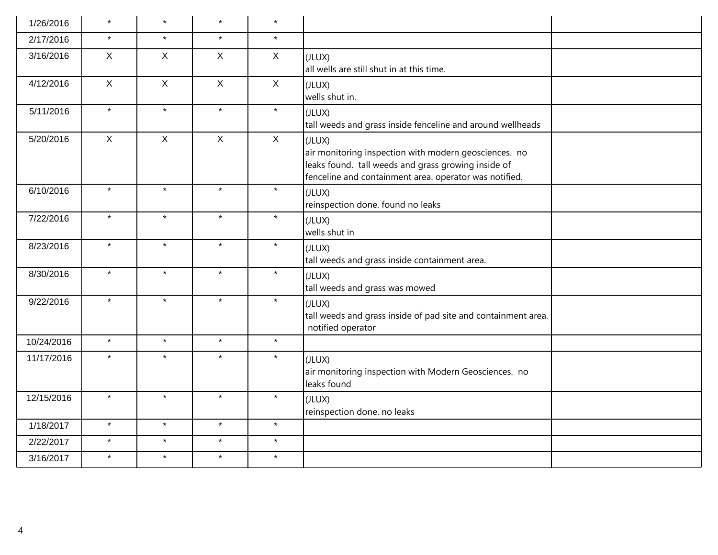| 1/26/2016  | $\star$      | $\star$      | $\star$      | $\star$      |                                                                                                                                                                                  |
|------------|--------------|--------------|--------------|--------------|----------------------------------------------------------------------------------------------------------------------------------------------------------------------------------|
| 2/17/2016  | $\star$      | $\star$      | $\star$      | $\star$      |                                                                                                                                                                                  |
| 3/16/2016  | $\mathsf{X}$ | $\mathsf{X}$ | $\mathsf{X}$ | $\sf X$      | (JLUX)<br>all wells are still shut in at this time.                                                                                                                              |
| 4/12/2016  | $\mathsf{X}$ | $\mathsf{X}$ | $\mathsf X$  | $\mathsf{X}$ | (JLUX)<br>wells shut in.                                                                                                                                                         |
| 5/11/2016  | $\star$      | $\star$      | $\star$      | $\star$      | (JLUX)<br>tall weeds and grass inside fenceline and around wellheads                                                                                                             |
| 5/20/2016  | $\mathsf{X}$ | $\mathsf{X}$ | $\mathsf{X}$ | $\sf X$      | (JLUX)<br>air monitoring inspection with modern geosciences. no<br>leaks found. tall weeds and grass growing inside of<br>fenceline and containment area. operator was notified. |
| 6/10/2016  | $\star$      | $\star$      | $\star$      | $\star$      | (JLUX)<br>reinspection done. found no leaks                                                                                                                                      |
| 7/22/2016  | $\star$      | $\star$      | $\star$      | $\star$      | (JLUX)<br>wells shut in                                                                                                                                                          |
| 8/23/2016  | $\star$      | $\star$      | $\star$      | $\star$      | (JLUX)<br>tall weeds and grass inside containment area.                                                                                                                          |
| 8/30/2016  | $\star$      | $\star$      | $\star$      | $\star$      | (JLUX)<br>tall weeds and grass was mowed                                                                                                                                         |
| 9/22/2016  | $\star$      | $\star$      | $\star$      | $\star$      | (JLUX)<br>tall weeds and grass inside of pad site and containment area.<br>notified operator                                                                                     |
| 10/24/2016 | $\star$      | $\star$      | $\star$      | $\star$      |                                                                                                                                                                                  |
| 11/17/2016 | $\star$      | $\star$      | $\star$      | $\star$      | (JLUX)<br>air monitoring inspection with Modern Geosciences. no<br>leaks found                                                                                                   |
| 12/15/2016 | $\star$      | $\star$      | $\star$      | $\star$      | (JLUX)<br>reinspection done. no leaks                                                                                                                                            |
| 1/18/2017  | $\star$      | $\star$      | $\star$      | $\star$      |                                                                                                                                                                                  |
| 2/22/2017  | $\star$      | $\star$      | $\star$      | $\star$      |                                                                                                                                                                                  |
| 3/16/2017  | $\star$      | $\star$      | $\star$      | $\star$      |                                                                                                                                                                                  |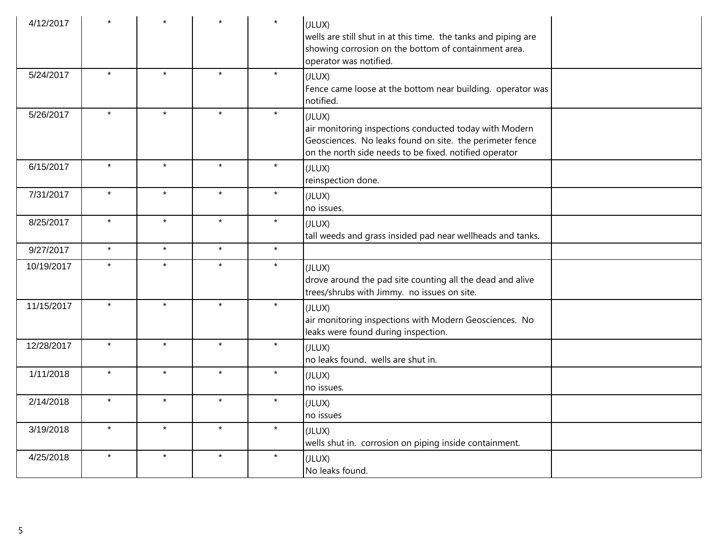| 4/12/2017  |         |         |         | $\star$ | (JLUX)<br>wells are still shut in at this time. the tanks and piping are<br>showing corrosion on the bottom of containment area.<br>operator was notified.                             |
|------------|---------|---------|---------|---------|----------------------------------------------------------------------------------------------------------------------------------------------------------------------------------------|
| 5/24/2017  | $\star$ | $\star$ | $\star$ | $\star$ | (JLUX)<br>Fence came loose at the bottom near building. operator was<br>notified.                                                                                                      |
| 5/26/2017  | $\star$ | $\star$ | $\star$ | $\star$ | (JLUX)<br>air monitoring inspections conducted today with Modern<br>Geosciences. No leaks found on site. the perimeter fence<br>on the north side needs to be fixed. notified operator |
| 6/15/2017  | $\star$ | $\star$ | $\star$ | $\star$ | (JLUX)<br>reinspection done.                                                                                                                                                           |
| 7/31/2017  | $\star$ | $\star$ | $\star$ | $\star$ | (JLUX)<br>no issues.                                                                                                                                                                   |
| 8/25/2017  | $\star$ | $\star$ | $\star$ | $\star$ | (JLUX)<br>tall weeds and grass insided pad near wellheads and tanks.                                                                                                                   |
| 9/27/2017  | $\star$ | $\star$ | $\star$ | $\star$ |                                                                                                                                                                                        |
| 10/19/2017 | $\star$ | $\star$ | $\star$ | $\star$ | (JLUX)<br>drove around the pad site counting all the dead and alive<br>trees/shrubs with Jimmy. no issues on site.                                                                     |
| 11/15/2017 | $\star$ | $\star$ | $\star$ | $\star$ | (JLUX)<br>air monitoring inspections with Modern Geosciences. No<br>leaks were found during inspection.                                                                                |
| 12/28/2017 | $\star$ | $\star$ | $\star$ | $\star$ | (JLUX)<br>no leaks found. wells are shut in.                                                                                                                                           |
| 1/11/2018  | $\star$ | $\star$ | $\star$ | $\star$ | (JLUX)<br>no issues.                                                                                                                                                                   |
| 2/14/2018  | $\star$ | $\star$ | $\star$ | $\star$ | (JLUX)<br>no issues                                                                                                                                                                    |
| 3/19/2018  | $\star$ | $\star$ | $\star$ | $\star$ | (JLUX)<br>wells shut in. corrosion on piping inside containment.                                                                                                                       |
| 4/25/2018  | $\star$ | $\star$ | $\star$ | $\star$ | (JLUX)<br>No leaks found.                                                                                                                                                              |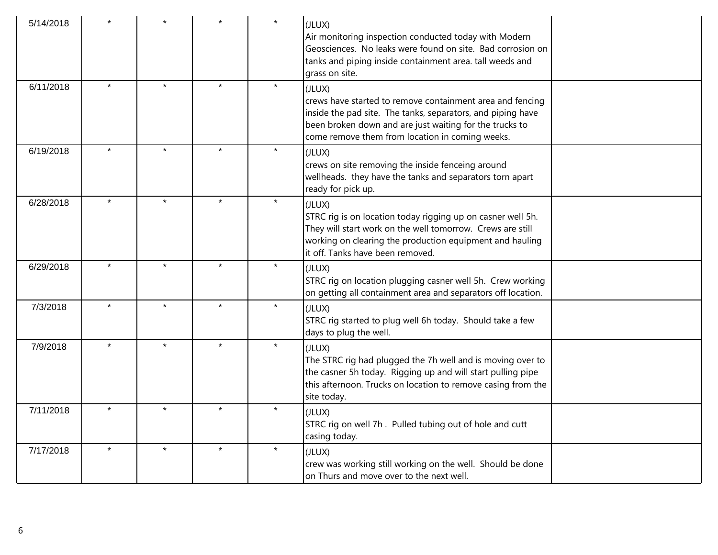| 5/14/2018 |         |         |         |         | (JLUX)<br>Air monitoring inspection conducted today with Modern<br>Geosciences. No leaks were found on site. Bad corrosion on<br>tanks and piping inside containment area. tall weeds and<br>grass on site.                                      |  |
|-----------|---------|---------|---------|---------|--------------------------------------------------------------------------------------------------------------------------------------------------------------------------------------------------------------------------------------------------|--|
| 6/11/2018 |         | $\star$ | $\star$ | $\star$ | (JLUX)<br>crews have started to remove containment area and fencing<br>inside the pad site. The tanks, separators, and piping have<br>been broken down and are just waiting for the trucks to<br>come remove them from location in coming weeks. |  |
| 6/19/2018 | $\star$ |         |         | $\star$ | (JLUX)<br>crews on site removing the inside fenceing around<br>wellheads. they have the tanks and separators torn apart<br>ready for pick up.                                                                                                    |  |
| 6/28/2018 |         |         | $\star$ | $\star$ | (JLUX)<br>STRC rig is on location today rigging up on casner well 5h.<br>They will start work on the well tomorrow. Crews are still<br>working on clearing the production equipment and hauling<br>it off. Tanks have been removed.              |  |
| 6/29/2018 |         |         |         |         | (JLUX)<br>STRC rig on location plugging casner well 5h. Crew working<br>on getting all containment area and separators off location.                                                                                                             |  |
| 7/3/2018  |         |         | $\star$ |         | (JLUX)<br>STRC rig started to plug well 6h today. Should take a few<br>days to plug the well.                                                                                                                                                    |  |
| 7/9/2018  | $\star$ | $\star$ | $\star$ | $\star$ | (JLUX)<br>The STRC rig had plugged the 7h well and is moving over to<br>the casner 5h today. Rigging up and will start pulling pipe<br>this afternoon. Trucks on location to remove casing from the<br>site today.                               |  |
| 7/11/2018 |         |         | $\star$ | $\star$ | (JLUX)<br>STRC rig on well 7h. Pulled tubing out of hole and cutt<br>casing today.                                                                                                                                                               |  |
| 7/17/2018 |         |         | $\star$ | $\star$ | (JLUX)<br>crew was working still working on the well. Should be done<br>on Thurs and move over to the next well.                                                                                                                                 |  |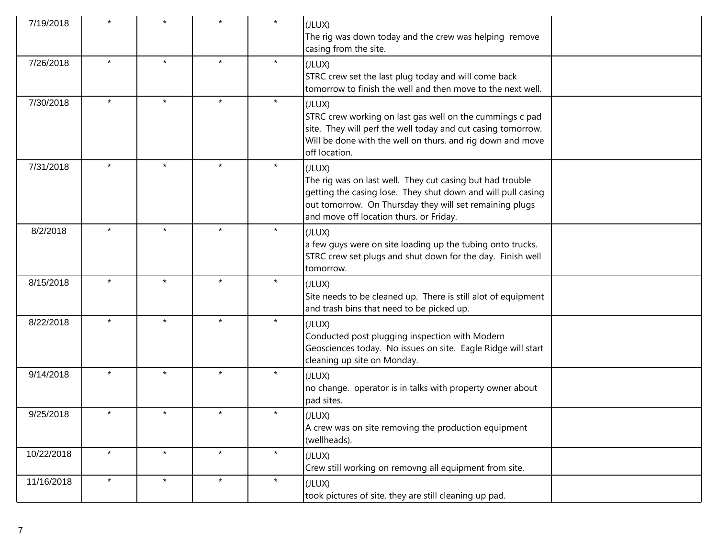| 7/19/2018  |         |         |         |         | (JLUX)<br>The rig was down today and the crew was helping remove<br>casing from the site.                                                                                                                                                 |
|------------|---------|---------|---------|---------|-------------------------------------------------------------------------------------------------------------------------------------------------------------------------------------------------------------------------------------------|
| 7/26/2018  | $\star$ | $\star$ | $\star$ | $\star$ | (JLUX)<br>STRC crew set the last plug today and will come back<br>tomorrow to finish the well and then move to the next well.                                                                                                             |
| 7/30/2018  | $\star$ | $\star$ | $\star$ | $\star$ | (JLUX)<br>STRC crew working on last gas well on the cummings c pad<br>site. They will perf the well today and cut casing tomorrow.<br>Will be done with the well on thurs. and rig down and move<br>off location.                         |
| 7/31/2018  | $\star$ | $\star$ | $\star$ | $\star$ | (JLUX)<br>The rig was on last well. They cut casing but had trouble<br>getting the casing lose. They shut down and will pull casing<br>out tomorrow. On Thursday they will set remaining plugs<br>and move off location thurs. or Friday. |
| 8/2/2018   |         |         | $\star$ | $\star$ | (JLUX)<br>a few guys were on site loading up the tubing onto trucks.<br>STRC crew set plugs and shut down for the day. Finish well<br>tomorrow.                                                                                           |
| 8/15/2018  |         | $\star$ | $\star$ | $\star$ | (JLUX)<br>Site needs to be cleaned up. There is still alot of equipment<br>and trash bins that need to be picked up.                                                                                                                      |
| 8/22/2018  | $\star$ | $\star$ | $\star$ | $\star$ | (JLUX)<br>Conducted post plugging inspection with Modern<br>Geosciences today. No issues on site. Eagle Ridge will start<br>cleaning up site on Monday.                                                                                   |
| 9/14/2018  | $\star$ | $\star$ | $\star$ | $\star$ | (JLUX)<br>no change. operator is in talks with property owner about<br>pad sites.                                                                                                                                                         |
| 9/25/2018  |         | $\star$ | $\star$ | $\star$ | (JLUX)<br>A crew was on site removing the production equipment<br>(wellheads).                                                                                                                                                            |
| 10/22/2018 | $\star$ | $\star$ | $\star$ | $\star$ | (JLUX)<br>Crew still working on removng all equipment from site.                                                                                                                                                                          |
| 11/16/2018 | $\star$ | $\star$ | $\star$ | $\star$ | (JLUX)<br>took pictures of site. they are still cleaning up pad.                                                                                                                                                                          |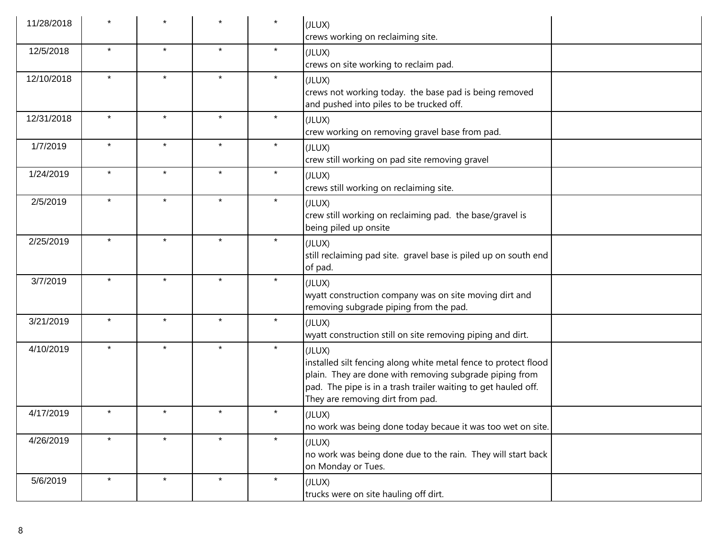| 11/28/2018 |         |         |         | $\star$ | (JLUX)<br>crews working on reclaiming site.                                                                                                                                                                                                |
|------------|---------|---------|---------|---------|--------------------------------------------------------------------------------------------------------------------------------------------------------------------------------------------------------------------------------------------|
| 12/5/2018  | $\star$ | $\star$ | $\star$ | $\star$ | (JLUX)<br>crews on site working to reclaim pad.                                                                                                                                                                                            |
| 12/10/2018 | $\star$ | $\star$ | $\star$ | $\star$ | (JLUX)<br>crews not working today. the base pad is being removed<br>and pushed into piles to be trucked off.                                                                                                                               |
| 12/31/2018 | $\star$ | $\star$ | $\star$ | $\star$ | (JLUX)<br>crew working on removing gravel base from pad.                                                                                                                                                                                   |
| 1/7/2019   | $\star$ | $\star$ | $\star$ | $\star$ | (JLUX)<br>crew still working on pad site removing gravel                                                                                                                                                                                   |
| 1/24/2019  | $\star$ | $\star$ | $\star$ | $\star$ | (JLUX)<br>crews still working on reclaiming site.                                                                                                                                                                                          |
| 2/5/2019   | $\star$ | $\star$ | $\star$ | $\star$ | (JLUX)<br>crew still working on reclaiming pad. the base/gravel is<br>being piled up onsite                                                                                                                                                |
| 2/25/2019  | $\star$ | $\star$ | $\star$ | $\star$ | (JLUX)<br>still reclaiming pad site. gravel base is piled up on south end<br>of pad.                                                                                                                                                       |
| 3/7/2019   | $\star$ | $\star$ | $\star$ | $\star$ | (JLUX)<br>wyatt construction company was on site moving dirt and<br>removing subgrade piping from the pad.                                                                                                                                 |
| 3/21/2019  | $\star$ | $\star$ | $\star$ | $\star$ | (JLUX)<br>wyatt construction still on site removing piping and dirt.                                                                                                                                                                       |
| 4/10/2019  | $\star$ | $\star$ | $\star$ | $\star$ | (JLUX)<br>installed silt fencing along white metal fence to protect flood<br>plain. They are done with removing subgrade piping from<br>pad. The pipe is in a trash trailer waiting to get hauled off.<br>They are removing dirt from pad. |
| 4/17/2019  | $\star$ | $\star$ | $\star$ | $\star$ | (JLUX)<br>no work was being done today becaue it was too wet on site.                                                                                                                                                                      |
| 4/26/2019  | $\star$ | $\star$ | $\star$ | $\star$ | (JLUX)<br>no work was being done due to the rain. They will start back<br>on Monday or Tues.                                                                                                                                               |
| 5/6/2019   | $\star$ | $\star$ | $\star$ | $\star$ | (JLUX)<br>trucks were on site hauling off dirt.                                                                                                                                                                                            |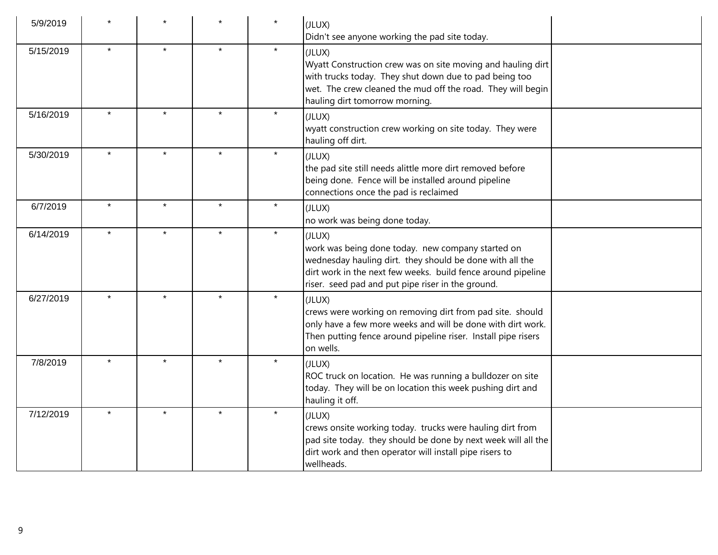| 5/9/2019  |         |         |                      |         | (JLUX)<br>Didn't see anyone working the pad site today.                                                                                                                                                                                      |  |
|-----------|---------|---------|----------------------|---------|----------------------------------------------------------------------------------------------------------------------------------------------------------------------------------------------------------------------------------------------|--|
| 5/15/2019 |         |         |                      | $\star$ | (JLUX)<br>Wyatt Construction crew was on site moving and hauling dirt<br>with trucks today. They shut down due to pad being too<br>wet. The crew cleaned the mud off the road. They will begin<br>hauling dirt tomorrow morning.             |  |
| 5/16/2019 |         |         |                      |         | (JLUX)<br>wyatt construction crew working on site today. They were<br>hauling off dirt.                                                                                                                                                      |  |
| 5/30/2019 | $\star$ | $\star$ | $\star$              | $\star$ | (JLUX)<br>the pad site still needs alittle more dirt removed before<br>being done. Fence will be installed around pipeline<br>connections once the pad is reclaimed                                                                          |  |
| 6/7/2019  | $\star$ | $\star$ | $\star$              | $\star$ | (JLUX)<br>no work was being done today.                                                                                                                                                                                                      |  |
| 6/14/2019 | $\star$ | $\star$ | $\star$              | $\star$ | (JLUX)<br>work was being done today. new company started on<br>wednesday hauling dirt. they should be done with all the<br>dirt work in the next few weeks. build fence around pipeline<br>riser. seed pad and put pipe riser in the ground. |  |
| 6/27/2019 | $\star$ |         |                      | $\star$ | (JLUX)<br>crews were working on removing dirt from pad site. should<br>only have a few more weeks and will be done with dirt work.<br>Then putting fence around pipeline riser. Install pipe risers<br>on wells.                             |  |
| 7/8/2019  | $\star$ | $\star$ | $\ddot{\phantom{1}}$ | $\star$ | (JLUX)<br>ROC truck on location. He was running a bulldozer on site<br>today. They will be on location this week pushing dirt and<br>hauling it off.                                                                                         |  |
| 7/12/2019 | $\star$ | $\star$ | $\star$              | $\star$ | (JLUX)<br>crews onsite working today. trucks were hauling dirt from<br>pad site today. they should be done by next week will all the<br>dirt work and then operator will install pipe risers to<br>wellheads.                                |  |